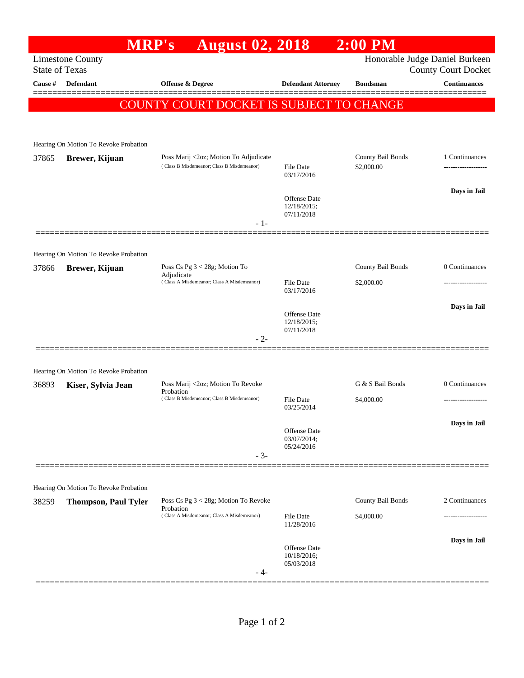|                       |                                       | <b>August 02, 2018</b><br><b>MRP's</b>                                              |                                                  | $2:00$ PM                       |                                            |
|-----------------------|---------------------------------------|-------------------------------------------------------------------------------------|--------------------------------------------------|---------------------------------|--------------------------------------------|
| <b>State of Texas</b> | <b>Limestone County</b>               |                                                                                     |                                                  |                                 | Honorable Judge Daniel Burkeen             |
| Cause #               | Defendant                             | <b>Offense &amp; Degree</b>                                                         | <b>Defendant Attorney</b>                        | <b>Bondsman</b>                 | County Court Docket<br><b>Continuances</b> |
|                       |                                       |                                                                                     |                                                  |                                 |                                            |
|                       |                                       | COUNTY COURT DOCKET IS SUBJECT TO CHANGE                                            |                                                  |                                 |                                            |
|                       |                                       |                                                                                     |                                                  |                                 |                                            |
|                       | Hearing On Motion To Revoke Probation |                                                                                     |                                                  |                                 |                                            |
| 37865                 | Brewer, Kijuan                        | Poss Marij <2oz; Motion To Adjudicate<br>(Class B Misdemeanor; Class B Misdemeanor) | File Date<br>03/17/2016                          | County Bail Bonds<br>\$2,000.00 | 1 Continuances<br>----------------         |
|                       |                                       |                                                                                     |                                                  |                                 | Days in Jail                               |
|                       |                                       |                                                                                     | <b>Offense Date</b><br>12/18/2015;<br>07/11/2018 |                                 |                                            |
|                       |                                       | $-1-$                                                                               |                                                  |                                 |                                            |
|                       | Hearing On Motion To Revoke Probation |                                                                                     |                                                  |                                 |                                            |
| 37866                 | Brewer, Kijuan                        | Poss Cs Pg $3 < 28g$ ; Motion To                                                    |                                                  | County Bail Bonds               | 0 Continuances                             |
|                       |                                       | Adjudicate<br>(Class A Misdemeanor; Class A Misdemeanor)                            | <b>File Date</b>                                 | \$2,000.00                      |                                            |
|                       |                                       |                                                                                     | 03/17/2016                                       |                                 |                                            |
|                       |                                       |                                                                                     | Offense Date<br>12/18/2015;<br>07/11/2018        |                                 | Days in Jail                               |
|                       |                                       | - 2-                                                                                |                                                  |                                 |                                            |
|                       |                                       |                                                                                     |                                                  |                                 |                                            |
|                       | Hearing On Motion To Revoke Probation | Poss Marij <2oz; Motion To Revoke                                                   |                                                  | G & S Bail Bonds                | 0 Continuances                             |
| 36893                 | Kiser, Sylvia Jean                    | Probation<br>(Class B Misdemeanor; Class B Misdemeanor)                             | File Date                                        | \$4,000.00                      | .                                          |
|                       |                                       |                                                                                     | 03/25/2014                                       |                                 |                                            |
|                       |                                       |                                                                                     | Offense Date                                     |                                 | Days in Jail                               |
|                       |                                       |                                                                                     | 03/07/2014;<br>05/24/2016                        |                                 |                                            |
|                       |                                       | $-3-$                                                                               |                                                  |                                 |                                            |
|                       |                                       |                                                                                     |                                                  |                                 |                                            |
|                       | Hearing On Motion To Revoke Probation |                                                                                     |                                                  |                                 |                                            |
| 38259                 | <b>Thompson, Paul Tyler</b>           | Poss Cs Pg 3 < 28g; Motion To Revoke<br>Probation                                   |                                                  | County Bail Bonds               | 2 Continuances                             |
|                       |                                       | (Class A Misdemeanor; Class A Misdemeanor)                                          | <b>File Date</b><br>11/28/2016                   | \$4,000.00                      |                                            |
|                       |                                       |                                                                                     |                                                  |                                 | Days in Jail                               |
|                       |                                       |                                                                                     | Offense Date<br>10/18/2016;<br>05/03/2018        |                                 |                                            |
|                       |                                       | - 4-                                                                                |                                                  |                                 |                                            |